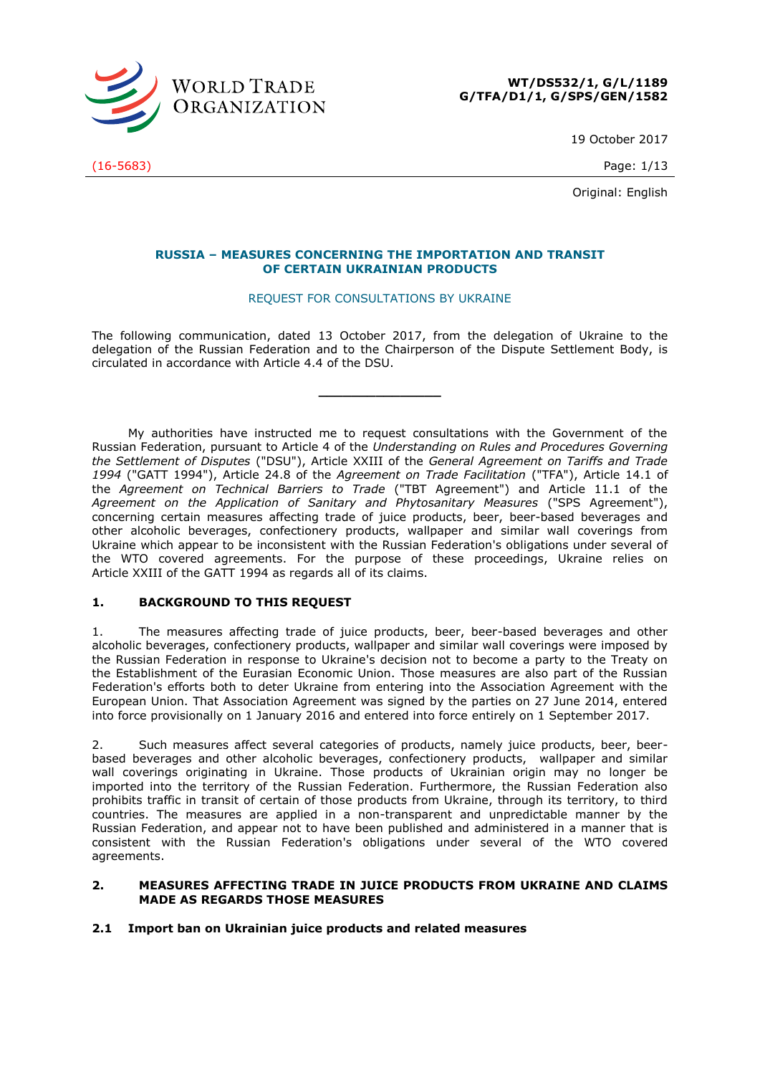

19 October 2017

(16-5683) Page: 1/13

Original: English

# **RUSSIA – MEASURES CONCERNING THE IMPORTATION AND TRANSIT OF CERTAIN UKRAINIAN PRODUCTS**

#### REQUEST FOR CONSULTATIONS BY UKRAINE

The following communication, dated 13 October 2017, from the delegation of Ukraine to the delegation of the Russian Federation and to the Chairperson of the Dispute Settlement Body, is circulated in accordance with Article 4.4 of the DSU.

**\_\_\_\_\_\_\_\_\_\_\_\_\_\_\_**

My authorities have instructed me to request consultations with the Government of the Russian Federation, pursuant to Article 4 of the *Understanding on Rules and Procedures Governing the Settlement of Disputes* ("DSU"), Article XXIII of the *General Agreement on Tariffs and Trade 1994* ("GATT 1994"), Article 24.8 of the *Agreement on Trade Facilitation* ("TFA"), Article 14.1 of the *Agreement on Technical Barriers to Trade* ("TBT Agreement") and Article 11.1 of the *Agreement on the Application of Sanitary and Phytosanitary Measures* ("SPS Agreement"), concerning certain measures affecting trade of juice products, beer, beer-based beverages and other alcoholic beverages, confectionery products, wallpaper and similar wall coverings from Ukraine which appear to be inconsistent with the Russian Federation's obligations under several of the WTO covered agreements. For the purpose of these proceedings, Ukraine relies on Article XXIII of the GATT 1994 as regards all of its claims.

# **1. BACKGROUND TO THIS REQUEST**

1. The measures affecting trade of juice products, beer, beer-based beverages and other alcoholic beverages, confectionery products, wallpaper and similar wall coverings were imposed by the Russian Federation in response to Ukraine's decision not to become a party to the Treaty on the Establishment of the Eurasian Economic Union. Those measures are also part of the Russian Federation's efforts both to deter Ukraine from entering into the Association Agreement with the European Union. That Association Agreement was signed by the parties on 27 June 2014, entered into force provisionally on 1 January 2016 and entered into force entirely on 1 September 2017.

2. Such measures affect several categories of products, namely juice products, beer, beerbased beverages and other alcoholic beverages, confectionery products, wallpaper and similar wall coverings originating in Ukraine. Those products of Ukrainian origin may no longer be imported into the territory of the Russian Federation. Furthermore, the Russian Federation also prohibits traffic in transit of certain of those products from Ukraine, through its territory, to third countries. The measures are applied in a non-transparent and unpredictable manner by the Russian Federation, and appear not to have been published and administered in a manner that is consistent with the Russian Federation's obligations under several of the WTO covered agreements.

# **2. MEASURES AFFECTING TRADE IN JUICE PRODUCTS FROM UKRAINE AND CLAIMS MADE AS REGARDS THOSE MEASURES**

# **2.1 Import ban on Ukrainian juice products and related measures**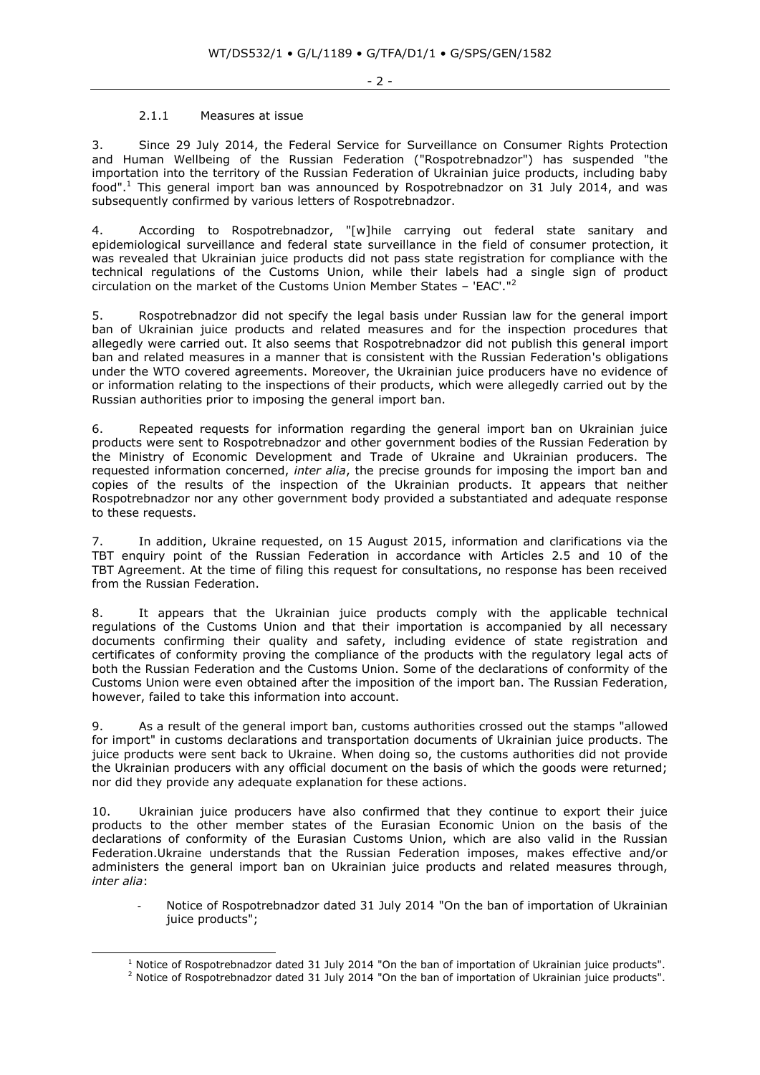#### 2.1.1 Measures at issue

-

3. Since 29 July 2014, the Federal Service for Surveillance on Consumer Rights Protection and Human Wellbeing of the Russian Federation ("Rospotrebnadzor") has suspended "the importation into the territory of the Russian Federation of Ukrainian juice products, including baby food". <sup>1</sup> This general import ban was announced by Rospotrebnadzor on 31 July 2014, and was subsequently confirmed by various letters of Rospotrebnadzor.

4. According to Rospotrebnadzor, "[w]hile carrying out federal state sanitary and epidemiological surveillance and federal state surveillance in the field of consumer protection, it was revealed that Ukrainian juice products did not pass state registration for compliance with the technical regulations of the Customs Union, while their labels had a single sign of product circulation on the market of the Customs Union Member States – 'EAC'." 2

5. Rospotrebnadzor did not specify the legal basis under Russian law for the general import ban of Ukrainian juice products and related measures and for the inspection procedures that allegedly were carried out. It also seems that Rospotrebnadzor did not publish this general import ban and related measures in a manner that is consistent with the Russian Federation's obligations under the WTO covered agreements. Moreover, the Ukrainian juice producers have no evidence of or information relating to the inspections of their products, which were allegedly carried out by the Russian authorities prior to imposing the general import ban.

6. Repeated requests for information regarding the general import ban on Ukrainian juice products were sent to Rospotrebnadzor and other government bodies of the Russian Federation by the Ministry of Economic Development and Trade of Ukraine and Ukrainian producers. The requested information concerned, *inter alia*, the precise grounds for imposing the import ban and copies of the results of the inspection of the Ukrainian products. It appears that neither Rospotrebnadzor nor any other government body provided a substantiated and adequate response to these requests.

7. In addition, Ukraine requested, on 15 August 2015, information and clarifications via the TBT enquiry point of the Russian Federation in accordance with Articles 2.5 and 10 of the TBT Agreement. At the time of filing this request for consultations, no response has been received from the Russian Federation.

8. It appears that the Ukrainian juice products comply with the applicable technical regulations of the Customs Union and that their importation is accompanied by all necessary documents confirming their quality and safety, including evidence of state registration and certificates of conformity proving the compliance of the products with the regulatory legal acts of both the Russian Federation and the Customs Union. Some of the declarations of conformity of the Customs Union were even obtained after the imposition of the import ban. The Russian Federation, however, failed to take this information into account.

9. As a result of the general import ban, customs authorities crossed out the stamps "allowed for import" in customs declarations and transportation documents of Ukrainian juice products. The juice products were sent back to Ukraine. When doing so, the customs authorities did not provide the Ukrainian producers with any official document on the basis of which the goods were returned; nor did they provide any adequate explanation for these actions.

10. Ukrainian juice producers have also confirmed that they continue to export their juice products to the other member states of the Eurasian Economic Union on the basis of the declarations of conformity of the Eurasian Customs Union, which are also valid in the Russian Federation.Ukraine understands that the Russian Federation imposes, makes effective and/or administers the general import ban on Ukrainian juice products and related measures through, *inter alia*:

Notice of Rospotrebnadzor dated 31 July 2014 "On the ban of importation of Ukrainian juice products";

 $1$  Notice of Rospotrebnadzor dated 31 July 2014 "On the ban of importation of Ukrainian juice products".

<sup>&</sup>lt;sup>2</sup> Notice of Rospotrebnadzor dated 31 July 2014 "On the ban of importation of Ukrainian juice products".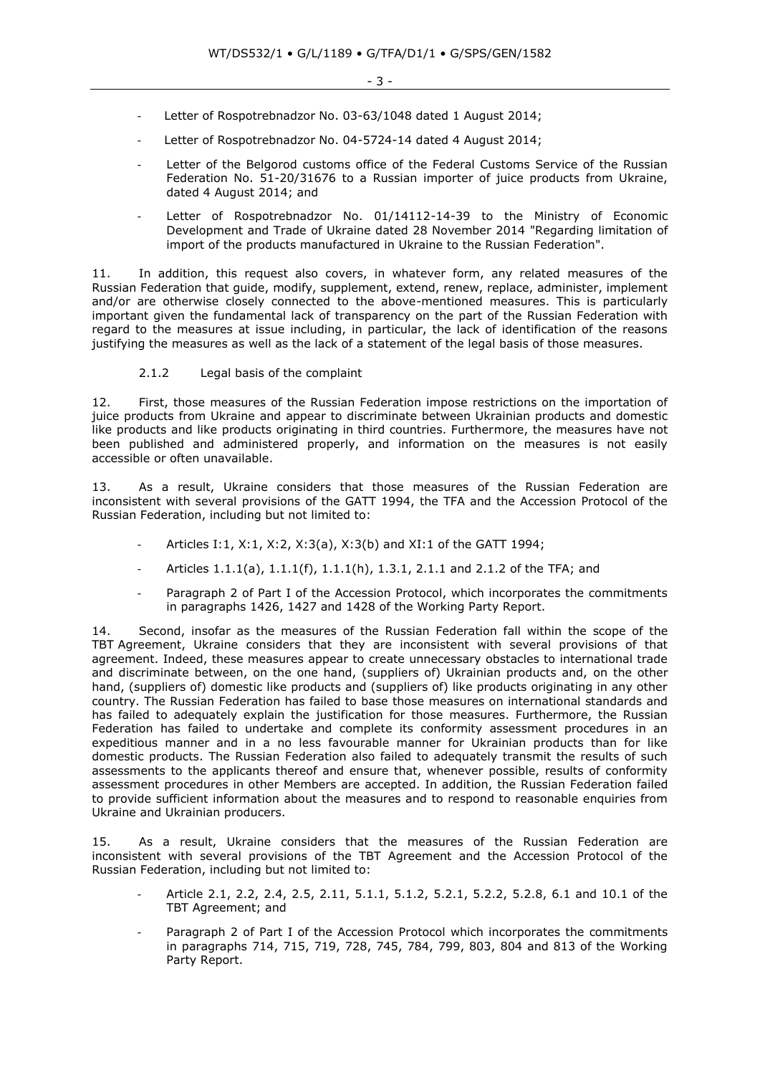- Letter of Rospotrebnadzor No. 03-63/1048 dated 1 August 2014;
- Letter of Rospotrebnadzor No. 04-5724-14 dated 4 August 2014;
- Letter of the Belgorod customs office of the Federal Customs Service of the Russian Federation No. 51-20/31676 to a Russian importer of juice products from Ukraine, dated 4 August 2014; and
- Letter of Rospotrebnadzor No. 01/14112-14-39 to the Ministry of Economic Development and Trade of Ukraine dated 28 November 2014 "Regarding limitation of import of the products manufactured in Ukraine to the Russian Federation".

11. In addition, this request also covers, in whatever form, any related measures of the Russian Federation that guide, modify, supplement, extend, renew, replace, administer, implement and/or are otherwise closely connected to the above-mentioned measures. This is particularly important given the fundamental lack of transparency on the part of the Russian Federation with regard to the measures at issue including, in particular, the lack of identification of the reasons justifying the measures as well as the lack of a statement of the legal basis of those measures.

2.1.2 Legal basis of the complaint

12. First, those measures of the Russian Federation impose restrictions on the importation of juice products from Ukraine and appear to discriminate between Ukrainian products and domestic like products and like products originating in third countries. Furthermore, the measures have not been published and administered properly, and information on the measures is not easily accessible or often unavailable.

13. As a result, Ukraine considers that those measures of the Russian Federation are inconsistent with several provisions of the GATT 1994, the TFA and the Accession Protocol of the Russian Federation, including but not limited to:

- Articles I:1, X:1, X:2, X:3(a), X:3(b) and XI:1 of the GATT 1994;
- Articles 1.1.1(a), 1.1.1(f), 1.1.1(h), 1.3.1, 2.1.1 and 2.1.2 of the TFA; and
- Paragraph 2 of Part I of the Accession Protocol, which incorporates the commitments in paragraphs 1426, 1427 and 1428 of the Working Party Report.

14. Second, insofar as the measures of the Russian Federation fall within the scope of the TBT Agreement, Ukraine considers that they are inconsistent with several provisions of that agreement. Indeed, these measures appear to create unnecessary obstacles to international trade and discriminate between, on the one hand, (suppliers of) Ukrainian products and, on the other hand, (suppliers of) domestic like products and (suppliers of) like products originating in any other country. The Russian Federation has failed to base those measures on international standards and has failed to adequately explain the justification for those measures. Furthermore, the Russian Federation has failed to undertake and complete its conformity assessment procedures in an expeditious manner and in a no less favourable manner for Ukrainian products than for like domestic products. The Russian Federation also failed to adequately transmit the results of such assessments to the applicants thereof and ensure that, whenever possible, results of conformity assessment procedures in other Members are accepted. In addition, the Russian Federation failed to provide sufficient information about the measures and to respond to reasonable enquiries from Ukraine and Ukrainian producers.

15. As a result, Ukraine considers that the measures of the Russian Federation are inconsistent with several provisions of the TBT Agreement and the Accession Protocol of the Russian Federation, including but not limited to:

- Article 2.1, 2.2, 2.4, 2.5, 2.11, 5.1.1, 5.1.2, 5.2.1, 5.2.2, 5.2.8, 6.1 and 10.1 of the TBT Agreement; and
- Paragraph 2 of Part I of the Accession Protocol which incorporates the commitments in paragraphs 714, 715, 719, 728, 745, 784, 799, 803, 804 and 813 of the Working Party Report.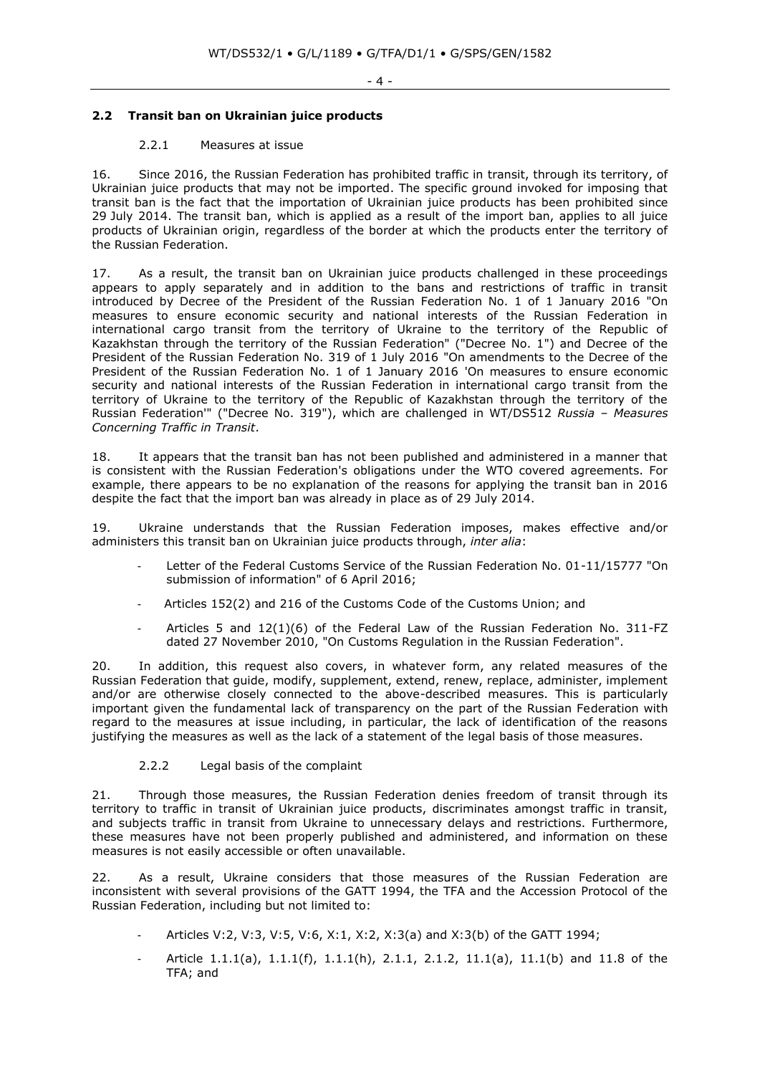# **2.2 Transit ban on Ukrainian juice products**

#### 2.2.1 Measures at issue

16. Since 2016, the Russian Federation has prohibited traffic in transit, through its territory, of Ukrainian juice products that may not be imported. The specific ground invoked for imposing that transit ban is the fact that the importation of Ukrainian juice products has been prohibited since 29 July 2014. The transit ban, which is applied as a result of the import ban, applies to all juice products of Ukrainian origin, regardless of the border at which the products enter the territory of the Russian Federation.

17. As a result, the transit ban on Ukrainian juice products challenged in these proceedings appears to apply separately and in addition to the bans and restrictions of traffic in transit introduced by Decree of the President of the Russian Federation No. 1 of 1 January 2016 "On measures to ensure economic security and national interests of the Russian Federation in international cargo transit from the territory of Ukraine to the territory of the Republic of Kazakhstan through the territory of the Russian Federation" ("Decree No. 1") and Decree of the President of the Russian Federation No. 319 of 1 July 2016 "On amendments to the Decree of the President of the Russian Federation No. 1 of 1 January 2016 'On measures to ensure economic security and national interests of the Russian Federation in international cargo transit from the territory of Ukraine to the territory of the Republic of Kazakhstan through the territory of the Russian Federation'" ("Decree No. 319"), which are challenged in WT/DS512 *Russia – Measures Concerning Traffic in Transit*.

18. It appears that the transit ban has not been published and administered in a manner that is consistent with the Russian Federation's obligations under the WTO covered agreements. For example, there appears to be no explanation of the reasons for applying the transit ban in 2016 despite the fact that the import ban was already in place as of 29 July 2014.

19. Ukraine understands that the Russian Federation imposes, makes effective and/or administers this transit ban on Ukrainian juice products through, *inter alia*:

- Letter of the Federal Customs Service of the Russian Federation No. 01-11/15777 "On submission of information" of 6 April 2016;
- Articles 152(2) and 216 of the Customs Code of the Customs Union; and
- Articles 5 and  $12(1)(6)$  of the Federal Law of the Russian Federation No. 311-FZ dated 27 November 2010, "On Customs Regulation in the Russian Federation".

20. In addition, this request also covers, in whatever form, any related measures of the Russian Federation that guide, modify, supplement, extend, renew, replace, administer, implement and/or are otherwise closely connected to the above-described measures. This is particularly important given the fundamental lack of transparency on the part of the Russian Federation with regard to the measures at issue including, in particular, the lack of identification of the reasons justifying the measures as well as the lack of a statement of the legal basis of those measures.

2.2.2 Legal basis of the complaint

21. Through those measures, the Russian Federation denies freedom of transit through its territory to traffic in transit of Ukrainian juice products, discriminates amongst traffic in transit, and subjects traffic in transit from Ukraine to unnecessary delays and restrictions. Furthermore, these measures have not been properly published and administered, and information on these measures is not easily accessible or often unavailable.

22. As a result, Ukraine considers that those measures of the Russian Federation are inconsistent with several provisions of the GATT 1994, the TFA and the Accession Protocol of the Russian Federation, including but not limited to:

- Articles V:2, V:3, V:5, V:6, X:1, X:2, X:3(a) and X:3(b) of the GATT 1994;
- Article 1.1.1(a), 1.1.1(f), 1.1.1(h), 2.1.1, 2.1.2, 11.1(a), 11.1(b) and 11.8 of the TFA; and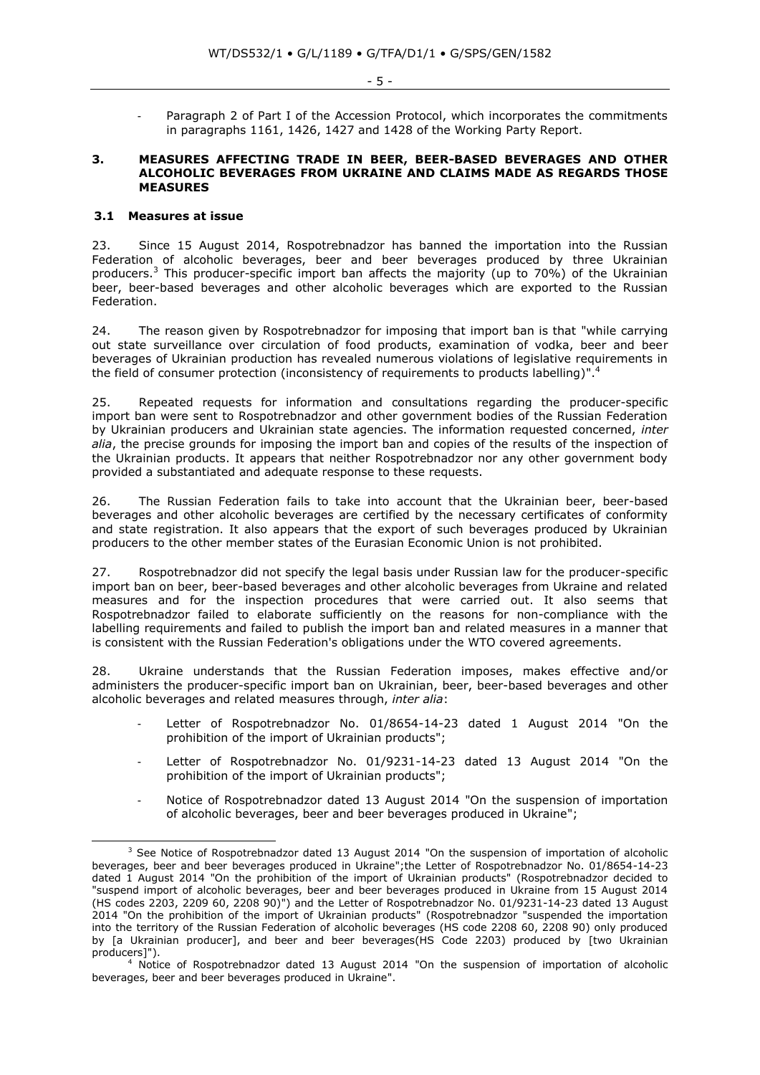Paragraph 2 of Part I of the Accession Protocol, which incorporates the commitments in paragraphs 1161, 1426, 1427 and 1428 of the Working Party Report.

#### **3. MEASURES AFFECTING TRADE IN BEER, BEER-BASED BEVERAGES AND OTHER ALCOHOLIC BEVERAGES FROM UKRAINE AND CLAIMS MADE AS REGARDS THOSE MEASURES**

# **3.1 Measures at issue**

-

23. Since 15 August 2014, Rospotrebnadzor has banned the importation into the Russian Federation of alcoholic beverages, beer and beer beverages produced by three Ukrainian producers.<sup>3</sup> This producer-specific import ban affects the majority (up to 70%) of the Ukrainian beer, beer-based beverages and other alcoholic beverages which are exported to the Russian Federation.

24. The reason given by Rospotrebnadzor for imposing that import ban is that "while carrying out state surveillance over circulation of food products, examination of vodka, beer and beer beverages of Ukrainian production has revealed numerous violations of legislative requirements in the field of consumer protection (inconsistency of requirements to products labelling)".<sup>4</sup>

25. Repeated requests for information and consultations regarding the producer-specific import ban were sent to Rospotrebnadzor and other government bodies of the Russian Federation by Ukrainian producers and Ukrainian state agencies. The information requested concerned, *inter alia*, the precise grounds for imposing the import ban and copies of the results of the inspection of the Ukrainian products. It appears that neither Rospotrebnadzor nor any other government body provided a substantiated and adequate response to these requests.

26. The Russian Federation fails to take into account that the Ukrainian beer, beer-based beverages and other alcoholic beverages are certified by the necessary certificates of conformity and state registration. It also appears that the export of such beverages produced by Ukrainian producers to the other member states of the Eurasian Economic Union is not prohibited.

27. Rospotrebnadzor did not specify the legal basis under Russian law for the producer-specific import ban on beer, beer-based beverages and other alcoholic beverages from Ukraine and related measures and for the inspection procedures that were carried out. It also seems that Rospotrebnadzor failed to elaborate sufficiently on the reasons for non-compliance with the labelling requirements and failed to publish the import ban and related measures in a manner that is consistent with the Russian Federation's obligations under the WTO covered agreements.

28. Ukraine understands that the Russian Federation imposes, makes effective and/or administers the producer-specific import ban on Ukrainian, beer, beer-based beverages and other alcoholic beverages and related measures through, *inter alia*:

- Letter of Rospotrebnadzor No. 01/8654-14-23 dated 1 August 2014 "On the prohibition of the import of Ukrainian products";
- Letter of Rospotrebnadzor No. 01/9231-14-23 dated 13 August 2014 "On the prohibition of the import of Ukrainian products";
- Notice of Rospotrebnadzor dated 13 August 2014 "On the suspension of importation of alcoholic beverages, beer and beer beverages produced in Ukraine";

 $3$  See Notice of Rospotrebnadzor dated 13 August 2014 "On the suspension of importation of alcoholic beverages, beer and beer beverages produced in Ukraine";the Letter of Rospotrebnadzor No. 01/8654-14-23 dated 1 August 2014 "On the prohibition of the import of Ukrainian products" (Rospotrebnadzor decided to "suspend import of alcoholic beverages, beer and beer beverages produced in Ukraine from 15 August 2014 (HS codes 2203, 2209 60, 2208 90)") and the Letter of Rospotrebnadzor No. 01/9231-14-23 dated 13 August 2014 "On the prohibition of the import of Ukrainian products" (Rospotrebnadzor "suspended the importation into the territory of the Russian Federation of alcoholic beverages (HS code 2208 60, 2208 90) only produced by [a Ukrainian producer], and beer and beer beverages(HS Code 2203) produced by [two Ukrainian producers]").

<sup>4</sup> Notice of Rospotrebnadzor dated 13 August 2014 "On the suspension of importation of alcoholic beverages, beer and beer beverages produced in Ukraine".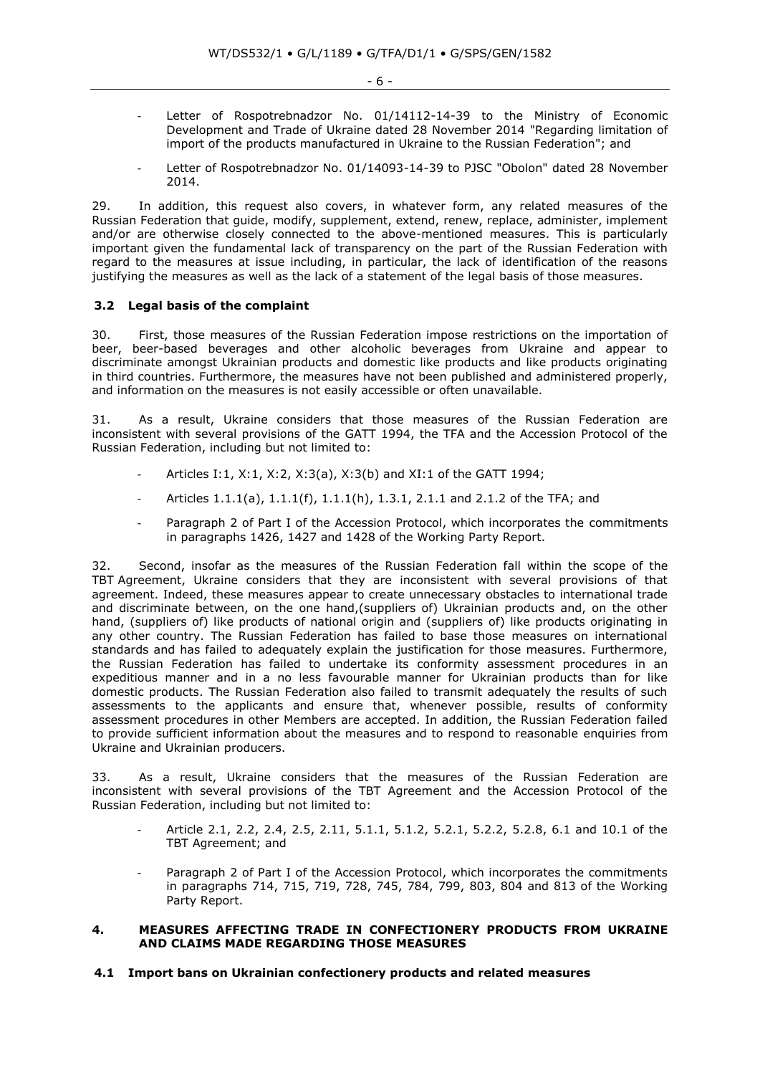- Letter of Rospotrebnadzor No. 01/14112-14-39 to the Ministry of Economic Development and Trade of Ukraine dated 28 November 2014 "Regarding limitation of import of the products manufactured in Ukraine to the Russian Federation"; and
- Letter of Rospotrebnadzor No. 01/14093-14-39 to PJSC "Obolon" dated 28 November 2014.

29. In addition, this request also covers, in whatever form, any related measures of the Russian Federation that guide, modify, supplement, extend, renew, replace, administer, implement and/or are otherwise closely connected to the above-mentioned measures. This is particularly important given the fundamental lack of transparency on the part of the Russian Federation with regard to the measures at issue including, in particular, the lack of identification of the reasons justifying the measures as well as the lack of a statement of the legal basis of those measures.

#### **3.2 Legal basis of the complaint**

30. First, those measures of the Russian Federation impose restrictions on the importation of beer, beer-based beverages and other alcoholic beverages from Ukraine and appear to discriminate amongst Ukrainian products and domestic like products and like products originating in third countries. Furthermore, the measures have not been published and administered properly, and information on the measures is not easily accessible or often unavailable.

31. As a result, Ukraine considers that those measures of the Russian Federation are inconsistent with several provisions of the GATT 1994, the TFA and the Accession Protocol of the Russian Federation, including but not limited to:

- Articles I:1, X:1, X:2, X:3(a), X:3(b) and XI:1 of the GATT 1994;
- Articles 1.1.1(a), 1.1.1(f), 1.1.1(h), 1.3.1, 2.1.1 and 2.1.2 of the TFA; and
- Paragraph 2 of Part I of the Accession Protocol, which incorporates the commitments in paragraphs 1426, 1427 and 1428 of the Working Party Report.

32. Second, insofar as the measures of the Russian Federation fall within the scope of the TBT Agreement, Ukraine considers that they are inconsistent with several provisions of that agreement. Indeed, these measures appear to create unnecessary obstacles to international trade and discriminate between, on the one hand,(suppliers of) Ukrainian products and, on the other hand, (suppliers of) like products of national origin and (suppliers of) like products originating in any other country. The Russian Federation has failed to base those measures on international standards and has failed to adequately explain the justification for those measures. Furthermore, the Russian Federation has failed to undertake its conformity assessment procedures in an expeditious manner and in a no less favourable manner for Ukrainian products than for like domestic products. The Russian Federation also failed to transmit adequately the results of such assessments to the applicants and ensure that, whenever possible, results of conformity assessment procedures in other Members are accepted. In addition, the Russian Federation failed to provide sufficient information about the measures and to respond to reasonable enquiries from Ukraine and Ukrainian producers.

33. As a result, Ukraine considers that the measures of the Russian Federation are inconsistent with several provisions of the TBT Agreement and the Accession Protocol of the Russian Federation, including but not limited to:

- Article 2.1, 2.2, 2.4, 2.5, 2.11, 5.1.1, 5.1.2, 5.2.1, 5.2.2, 5.2.8, 6.1 and 10.1 of the TBT Agreement; and
- Paragraph 2 of Part I of the Accession Protocol, which incorporates the commitments in paragraphs 714, 715, 719, 728, 745, 784, 799, 803, 804 and 813 of the Working Party Report.

#### **4. MEASURES AFFECTING TRADE IN CONFECTIONERY PRODUCTS FROM UKRAINE AND CLAIMS MADE REGARDING THOSE MEASURES**

#### **4.1 Import bans on Ukrainian confectionery products and related measures**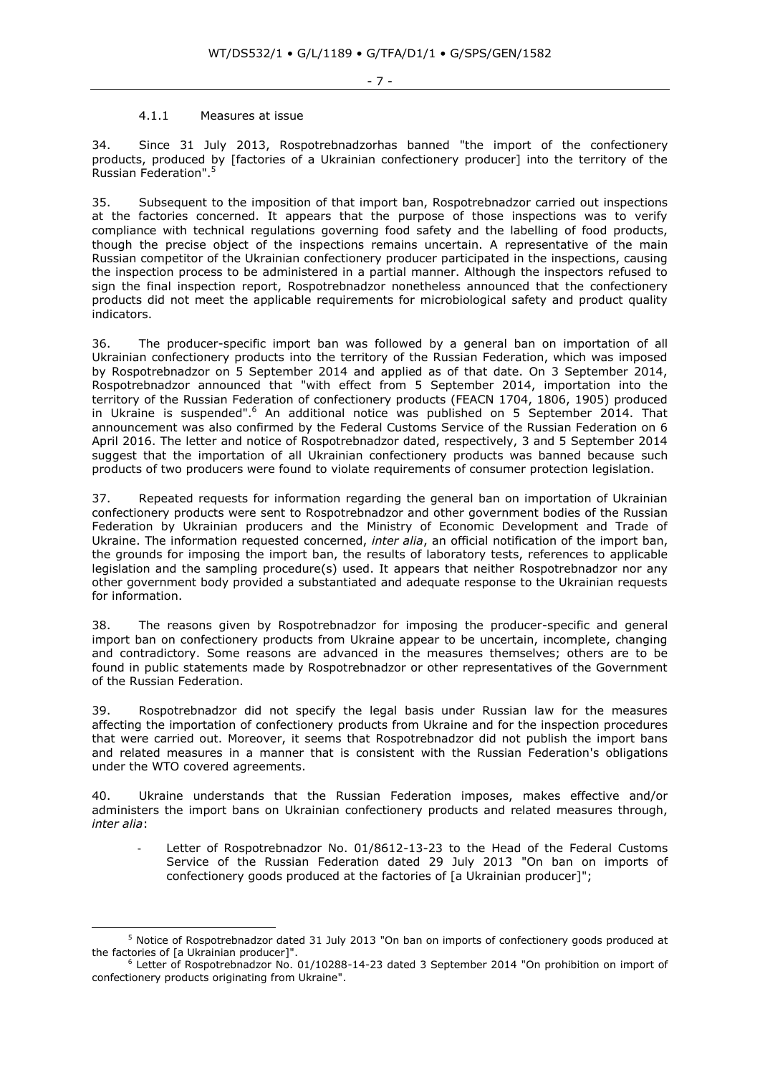- 7 -

#### 4.1.1 Measures at issue

34. Since 31 July 2013, Rospotrebnadzorhas banned "the import of the confectionery products, produced by [factories of a Ukrainian confectionery producer] into the territory of the Russian Federation". 5

35. Subsequent to the imposition of that import ban, Rospotrebnadzor carried out inspections at the factories concerned. It appears that the purpose of those inspections was to verify compliance with technical regulations governing food safety and the labelling of food products, though the precise object of the inspections remains uncertain. A representative of the main Russian competitor of the Ukrainian confectionery producer participated in the inspections, causing the inspection process to be administered in a partial manner. Although the inspectors refused to sign the final inspection report, Rospotrebnadzor nonetheless announced that the confectionery products did not meet the applicable requirements for microbiological safety and product quality indicators.

36. The producer-specific import ban was followed by a general ban on importation of all Ukrainian confectionery products into the territory of the Russian Federation, which was imposed by Rospotrebnadzor on 5 September 2014 and applied as of that date. On 3 September 2014, Rospotrebnadzor announced that "with effect from 5 September 2014, importation into the territory of the Russian Federation of confectionery products (FEACN 1704, 1806, 1905) produced in Ukraine is suspended".<sup>6</sup> An additional notice was published on 5 September 2014. That announcement was also confirmed by the Federal Customs Service of the Russian Federation on 6 April 2016. The letter and notice of Rospotrebnadzor dated, respectively, 3 and 5 September 2014 suggest that the importation of all Ukrainian confectionery products was banned because such products of two producers were found to violate requirements of consumer protection legislation.

37. Repeated requests for information regarding the general ban on importation of Ukrainian confectionery products were sent to Rospotrebnadzor and other government bodies of the Russian Federation by Ukrainian producers and the Ministry of Economic Development and Trade of Ukraine. The information requested concerned, *inter alia*, an official notification of the import ban, the grounds for imposing the import ban, the results of laboratory tests, references to applicable legislation and the sampling procedure(s) used. It appears that neither Rospotrebnadzor nor any other government body provided a substantiated and adequate response to the Ukrainian requests for information.

38. The reasons given by Rospotrebnadzor for imposing the producer-specific and general import ban on confectionery products from Ukraine appear to be uncertain, incomplete, changing and contradictory. Some reasons are advanced in the measures themselves; others are to be found in public statements made by Rospotrebnadzor or other representatives of the Government of the Russian Federation.

39. Rospotrebnadzor did not specify the legal basis under Russian law for the measures affecting the importation of confectionery products from Ukraine and for the inspection procedures that were carried out. Moreover, it seems that Rospotrebnadzor did not publish the import bans and related measures in a manner that is consistent with the Russian Federation's obligations under the WTO covered agreements.

40. Ukraine understands that the Russian Federation imposes, makes effective and/or administers the import bans on Ukrainian confectionery products and related measures through, *inter alia*:

Letter of Rospotrebnadzor No. 01/8612-13-23 to the Head of the Federal Customs Service of the Russian Federation dated 29 July 2013 "On ban on imports of confectionery goods produced at the factories of [a Ukrainian producer]";

-

<sup>5</sup> Notice of Rospotrebnadzor dated 31 July 2013 "On ban on imports of confectionery goods produced at the factories of [a Ukrainian producer]".

<sup>&</sup>lt;sup>6</sup> Letter of Rospotrebnadzor No. 01/10288-14-23 dated 3 September 2014 "On prohibition on import of confectionery products originating from Ukraine".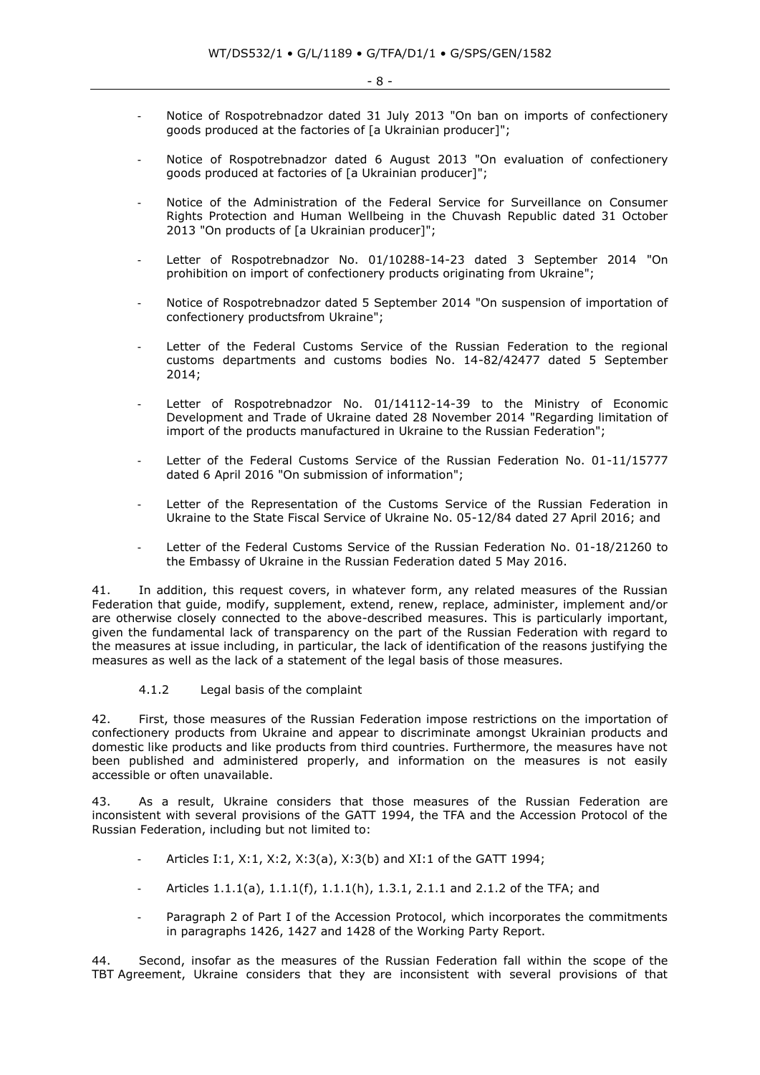- Notice of Rospotrebnadzor dated 31 July 2013 "On ban on imports of confectionery goods produced at the factories of [a Ukrainian producer]";
- Notice of Rospotrebnadzor dated 6 August 2013 "On evaluation of confectionery goods produced at factories of [a Ukrainian producer]";
- Notice of the Administration of the Federal Service for Surveillance on Consumer Rights Protection and Human Wellbeing in the Chuvash Republic dated 31 October 2013 "On products of [a Ukrainian producer]";
- Letter of Rospotrebnadzor No. 01/10288-14-23 dated 3 September 2014 "On prohibition on import of confectionery products originating from Ukraine";
- Notice of Rospotrebnadzor dated 5 September 2014 "On suspension of importation of confectionery productsfrom Ukraine";
- Letter of the Federal Customs Service of the Russian Federation to the regional customs departments and customs bodies No. 14-82/42477 dated 5 September 2014;
- Letter of Rospotrebnadzor No. 01/14112-14-39 to the Ministry of Economic Development and Trade of Ukraine dated 28 November 2014 "Regarding limitation of import of the products manufactured in Ukraine to the Russian Federation";
- Letter of the Federal Customs Service of the Russian Federation No. 01-11/15777 dated 6 April 2016 "On submission of information";
- Letter of the Representation of the Customs Service of the Russian Federation in Ukraine to the State Fiscal Service of Ukraine No. 05-12/84 dated 27 April 2016; and
- Letter of the Federal Customs Service of the Russian Federation No. 01-18/21260 to the Embassy of Ukraine in the Russian Federation dated 5 May 2016.

41. In addition, this request covers, in whatever form, any related measures of the Russian Federation that guide, modify, supplement, extend, renew, replace, administer, implement and/or are otherwise closely connected to the above-described measures. This is particularly important, given the fundamental lack of transparency on the part of the Russian Federation with regard to the measures at issue including, in particular, the lack of identification of the reasons justifying the measures as well as the lack of a statement of the legal basis of those measures.

4.1.2 Legal basis of the complaint

42. First, those measures of the Russian Federation impose restrictions on the importation of confectionery products from Ukraine and appear to discriminate amongst Ukrainian products and domestic like products and like products from third countries. Furthermore, the measures have not been published and administered properly, and information on the measures is not easily accessible or often unavailable.

43. As a result, Ukraine considers that those measures of the Russian Federation are inconsistent with several provisions of the GATT 1994, the TFA and the Accession Protocol of the Russian Federation, including but not limited to:

- Articles I:1, X:1, X:2, X:3(a), X:3(b) and XI:1 of the GATT 1994;
- Articles 1.1.1(a), 1.1.1(f), 1.1.1(h), 1.3.1, 2.1.1 and 2.1.2 of the TFA; and
- Paragraph 2 of Part I of the Accession Protocol, which incorporates the commitments in paragraphs 1426, 1427 and 1428 of the Working Party Report.

44. Second, insofar as the measures of the Russian Federation fall within the scope of the TBT Agreement, Ukraine considers that they are inconsistent with several provisions of that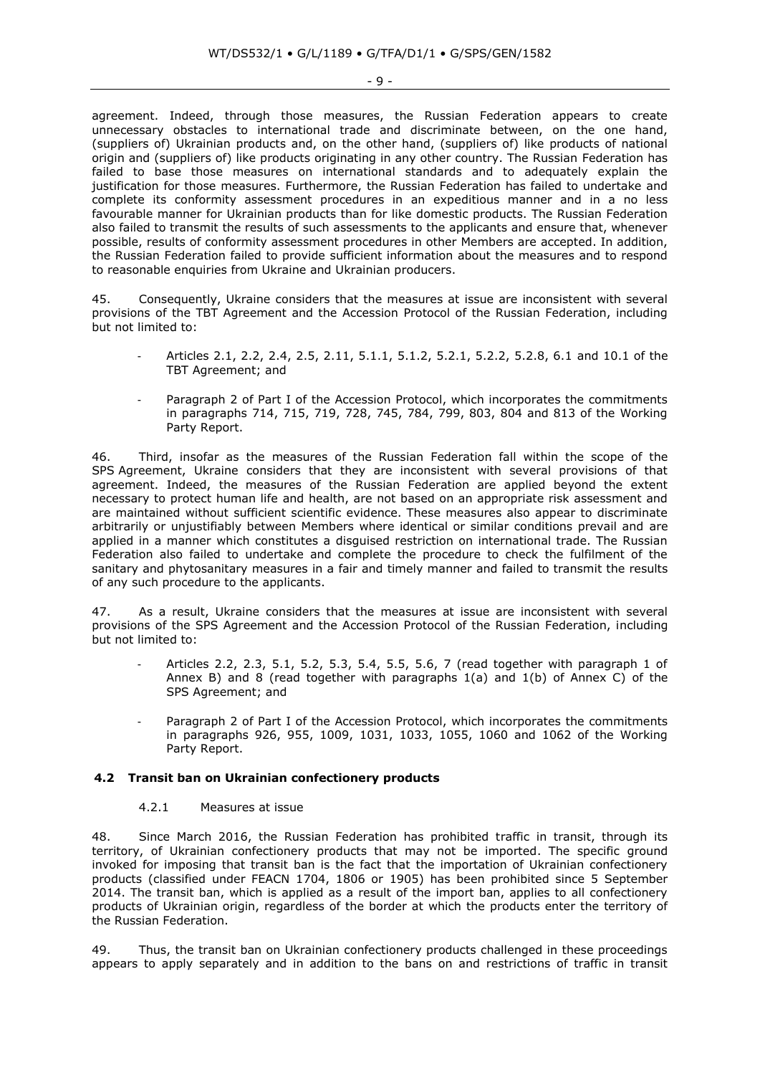agreement. Indeed, through those measures, the Russian Federation appears to create unnecessary obstacles to international trade and discriminate between, on the one hand, (suppliers of) Ukrainian products and, on the other hand, (suppliers of) like products of national origin and (suppliers of) like products originating in any other country. The Russian Federation has failed to base those measures on international standards and to adequately explain the justification for those measures. Furthermore, the Russian Federation has failed to undertake and complete its conformity assessment procedures in an expeditious manner and in a no less favourable manner for Ukrainian products than for like domestic products. The Russian Federation also failed to transmit the results of such assessments to the applicants and ensure that, whenever possible, results of conformity assessment procedures in other Members are accepted. In addition, the Russian Federation failed to provide sufficient information about the measures and to respond to reasonable enquiries from Ukraine and Ukrainian producers.

45. Consequently, Ukraine considers that the measures at issue are inconsistent with several provisions of the TBT Agreement and the Accession Protocol of the Russian Federation, including but not limited to:

- Articles 2.1, 2.2, 2.4, 2.5, 2.11, 5.1.1, 5.1.2, 5.2.1, 5.2.2, 5.2.8, 6.1 and 10.1 of the TBT Agreement; and
- Paragraph 2 of Part I of the Accession Protocol, which incorporates the commitments in paragraphs 714, 715, 719, 728, 745, 784, 799, 803, 804 and 813 of the Working Party Report.

46. Third, insofar as the measures of the Russian Federation fall within the scope of the SPS Agreement, Ukraine considers that they are inconsistent with several provisions of that agreement. Indeed, the measures of the Russian Federation are applied beyond the extent necessary to protect human life and health, are not based on an appropriate risk assessment and are maintained without sufficient scientific evidence. These measures also appear to discriminate arbitrarily or unjustifiably between Members where identical or similar conditions prevail and are applied in a manner which constitutes a disguised restriction on international trade. The Russian Federation also failed to undertake and complete the procedure to check the fulfilment of the sanitary and phytosanitary measures in a fair and timely manner and failed to transmit the results of any such procedure to the applicants.

47. As a result, Ukraine considers that the measures at issue are inconsistent with several provisions of the SPS Agreement and the Accession Protocol of the Russian Federation, including but not limited to:

- Articles 2.2, 2.3, 5.1, 5.2, 5.3, 5.4, 5.5, 5.6, 7 (read together with paragraph 1 of Annex B) and 8 (read together with paragraphs  $1(a)$  and  $1(b)$  of Annex C) of the SPS Agreement; and
- Paragraph 2 of Part I of the Accession Protocol, which incorporates the commitments in paragraphs 926, 955, 1009, 1031, 1033, 1055, 1060 and 1062 of the Working Party Report.

#### **4.2 Transit ban on Ukrainian confectionery products**

#### 4.2.1 Measures at issue

48. Since March 2016, the Russian Federation has prohibited traffic in transit, through its territory, of Ukrainian confectionery products that may not be imported. The specific ground invoked for imposing that transit ban is the fact that the importation of Ukrainian confectionery products (classified under FEACN 1704, 1806 or 1905) has been prohibited since 5 September 2014. The transit ban, which is applied as a result of the import ban, applies to all confectionery products of Ukrainian origin, regardless of the border at which the products enter the territory of the Russian Federation.

49. Thus, the transit ban on Ukrainian confectionery products challenged in these proceedings appears to apply separately and in addition to the bans on and restrictions of traffic in transit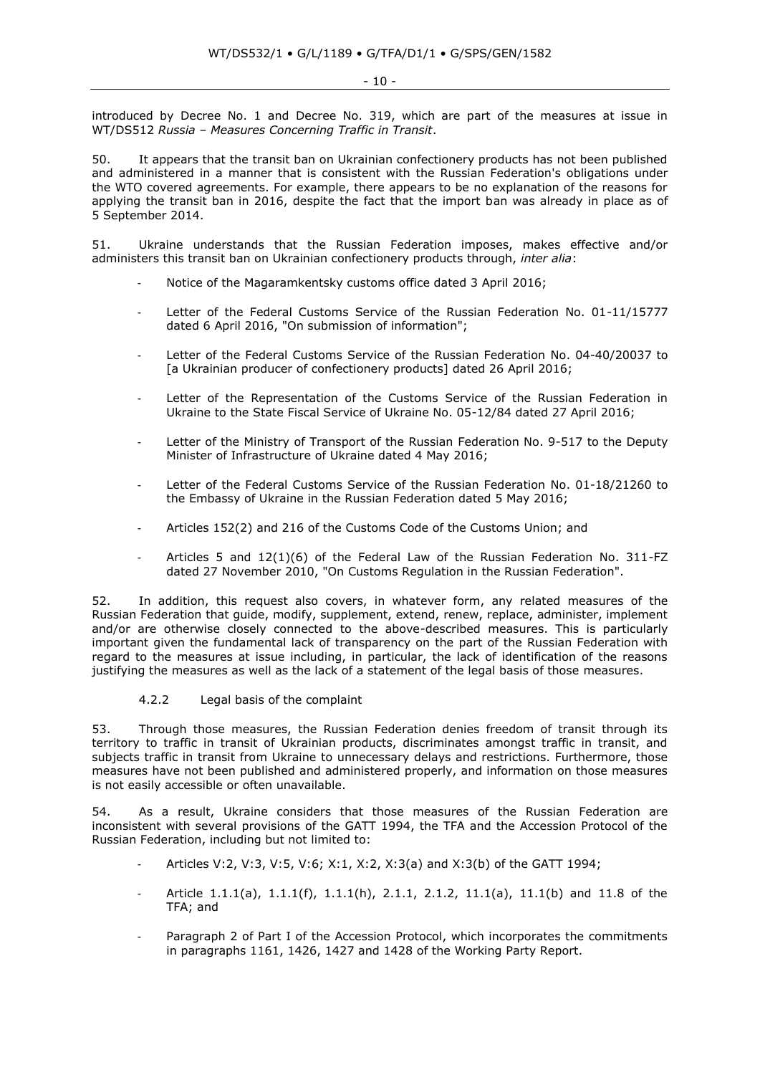introduced by Decree No. 1 and Decree No. 319, which are part of the measures at issue in WT/DS512 *Russia – Measures Concerning Traffic in Transit*.

50. It appears that the transit ban on Ukrainian confectionery products has not been published and administered in a manner that is consistent with the Russian Federation's obligations under the WTO covered agreements. For example, there appears to be no explanation of the reasons for applying the transit ban in 2016, despite the fact that the import ban was already in place as of 5 September 2014.

51. Ukraine understands that the Russian Federation imposes, makes effective and/or administers this transit ban on Ukrainian confectionery products through, *inter alia*:

- Notice of the Magaramkentsky customs office dated 3 April 2016;
- Letter of the Federal Customs Service of the Russian Federation No. 01-11/15777 dated 6 April 2016, "On submission of information";
- Letter of the Federal Customs Service of the Russian Federation No. 04-40/20037 to [a Ukrainian producer of confectionery products] dated 26 April 2016;
- Letter of the Representation of the Customs Service of the Russian Federation in Ukraine to the State Fiscal Service of Ukraine No. 05-12/84 dated 27 April 2016;
- Letter of the Ministry of Transport of the Russian Federation No. 9-517 to the Deputy Minister of Infrastructure of Ukraine dated 4 May 2016;
- Letter of the Federal Customs Service of the Russian Federation No. 01-18/21260 to the Embassy of Ukraine in the Russian Federation dated 5 May 2016;
- Articles 152(2) and 216 of the Customs Code of the Customs Union; and
- Articles 5 and 12(1)(6) of the Federal Law of the Russian Federation No. 311-FZ dated 27 November 2010, "On Customs Regulation in the Russian Federation".

52. In addition, this request also covers, in whatever form, any related measures of the Russian Federation that guide, modify, supplement, extend, renew, replace, administer, implement and/or are otherwise closely connected to the above-described measures. This is particularly important given the fundamental lack of transparency on the part of the Russian Federation with regard to the measures at issue including, in particular, the lack of identification of the reasons justifying the measures as well as the lack of a statement of the legal basis of those measures.

4.2.2 Legal basis of the complaint

53. Through those measures, the Russian Federation denies freedom of transit through its territory to traffic in transit of Ukrainian products, discriminates amongst traffic in transit, and subjects traffic in transit from Ukraine to unnecessary delays and restrictions. Furthermore, those measures have not been published and administered properly, and information on those measures is not easily accessible or often unavailable.

54. As a result, Ukraine considers that those measures of the Russian Federation are inconsistent with several provisions of the GATT 1994, the TFA and the Accession Protocol of the Russian Federation, including but not limited to:

- Articles V:2, V:3, V:5, V:6; X:1, X:2, X:3(a) and X:3(b) of the GATT 1994;
- Article 1.1.1(a), 1.1.1(f), 1.1.1(h), 2.1.1, 2.1.2, 11.1(a), 11.1(b) and 11.8 of the TFA; and
- Paragraph 2 of Part I of the Accession Protocol, which incorporates the commitments in paragraphs 1161, 1426, 1427 and 1428 of the Working Party Report.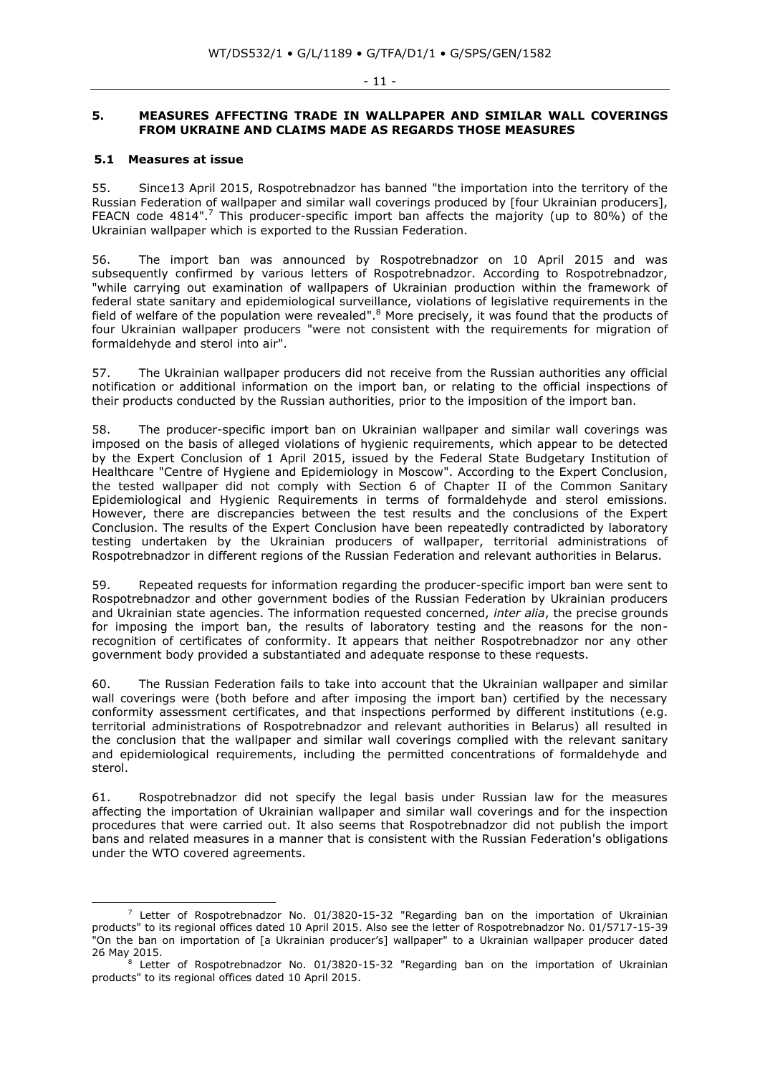#### - 11 -

# **5. MEASURES AFFECTING TRADE IN WALLPAPER AND SIMILAR WALL COVERINGS FROM UKRAINE AND CLAIMS MADE AS REGARDS THOSE MEASURES**

# **5.1 Measures at issue**

55. Since13 April 2015, Rospotrebnadzor has banned "the importation into the territory of the Russian Federation of wallpaper and similar wall coverings produced by [four Ukrainian producers], FEACN code 4814".<sup>7</sup> This producer-specific import ban affects the majority (up to 80%) of the Ukrainian wallpaper which is exported to the Russian Federation.

56. The import ban was announced by Rospotrebnadzor on 10 April 2015 and was subsequently confirmed by various letters of Rospotrebnadzor. According to Rospotrebnadzor, "while carrying out examination of wallpapers of Ukrainian production within the framework of federal state sanitary and epidemiological surveillance, violations of legislative requirements in the field of welfare of the population were revealed".<sup>8</sup> More precisely, it was found that the products of four Ukrainian wallpaper producers "were not consistent with the requirements for migration of formaldehyde and sterol into air".

57. The Ukrainian wallpaper producers did not receive from the Russian authorities any official notification or additional information on the import ban, or relating to the official inspections of their products conducted by the Russian authorities, prior to the imposition of the import ban.

58. The producer-specific import ban on Ukrainian wallpaper and similar wall coverings was imposed on the basis of alleged violations of hygienic requirements, which appear to be detected by the Expert Conclusion of 1 April 2015, issued by the Federal State Budgetary Institution of Healthcare "Centre of Hygiene and Epidemiology in Moscow". According to the Expert Conclusion, the tested wallpaper did not comply with Section 6 of Chapter II of the Common Sanitary Epidemiological and Hygienic Requirements in terms of formaldehyde and sterol emissions. However, there are discrepancies between the test results and the conclusions of the Expert Conclusion. The results of the Expert Conclusion have been repeatedly contradicted by laboratory testing undertaken by the Ukrainian producers of wallpaper, territorial administrations of Rospotrebnadzor in different regions of the Russian Federation and relevant authorities in Belarus.

59. Repeated requests for information regarding the producer-specific import ban were sent to Rospotrebnadzor and other government bodies of the Russian Federation by Ukrainian producers and Ukrainian state agencies. The information requested concerned, *inter alia*, the precise grounds for imposing the import ban, the results of laboratory testing and the reasons for the nonrecognition of certificates of conformity. It appears that neither Rospotrebnadzor nor any other government body provided a substantiated and adequate response to these requests.

60. The Russian Federation fails to take into account that the Ukrainian wallpaper and similar wall coverings were (both before and after imposing the import ban) certified by the necessary conformity assessment certificates, and that inspections performed by different institutions (e.g. territorial administrations of Rospotrebnadzor and relevant authorities in Belarus) all resulted in the conclusion that the wallpaper and similar wall coverings complied with the relevant sanitary and epidemiological requirements, including the permitted concentrations of formaldehyde and sterol.

61. Rospotrebnadzor did not specify the legal basis under Russian law for the measures affecting the importation of Ukrainian wallpaper and similar wall coverings and for the inspection procedures that were carried out. It also seems that Rospotrebnadzor did not publish the import bans and related measures in a manner that is consistent with the Russian Federation's obligations under the WTO covered agreements.

<sup>-</sup> $7$  Letter of Rospotrebnadzor No. 01/3820-15-32 "Regarding ban on the importation of Ukrainian products" to its regional offices dated 10 April 2015. Also see the letter of Rospotrebnadzor No. 01/5717-15-39 "On the ban on importation of [a Ukrainian producer's] wallpaper" to a Ukrainian wallpaper producer dated 26 May 2015.

<sup>&</sup>lt;sup>8</sup> Letter of Rospotrebnadzor No. 01/3820-15-32 "Regarding ban on the importation of Ukrainian products" to its regional offices dated 10 April 2015.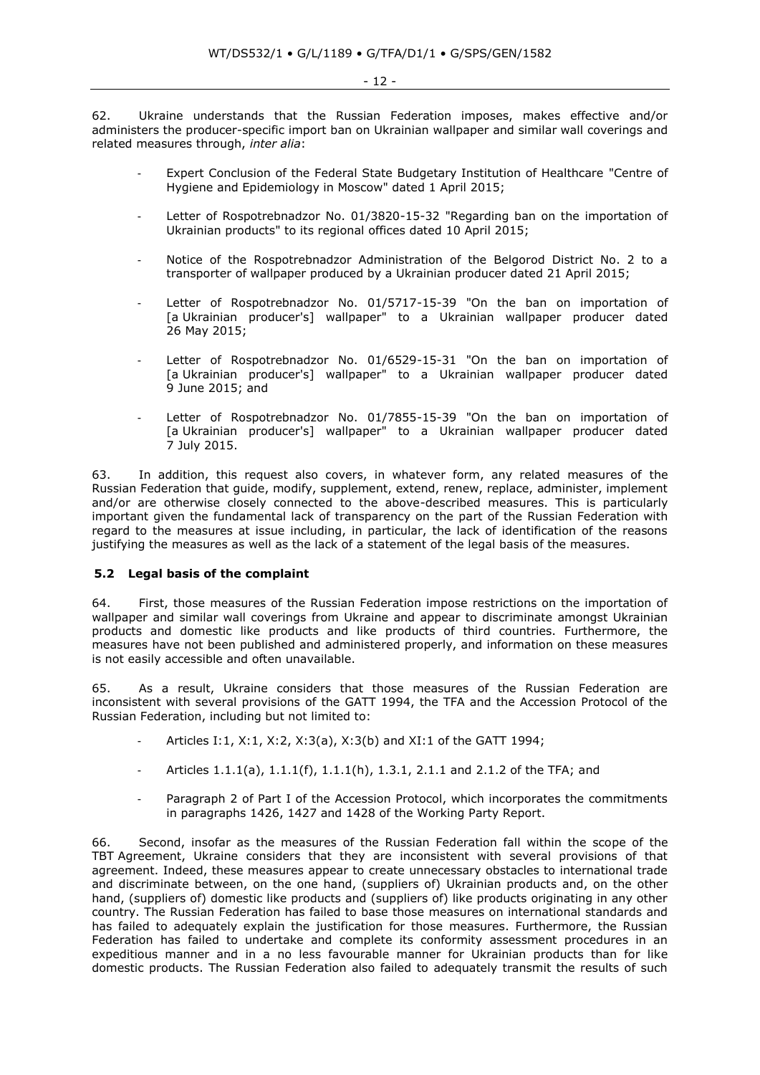- 12 -

62. Ukraine understands that the Russian Federation imposes, makes effective and/or administers the producer-specific import ban on Ukrainian wallpaper and similar wall coverings and related measures through, *inter alia*:

- Expert Conclusion of the Federal State Budgetary Institution of Healthcare "Centre of Hygiene and Epidemiology in Moscow" dated 1 April 2015;
- Letter of Rospotrebnadzor No. 01/3820-15-32 "Regarding ban on the importation of Ukrainian products" to its regional offices dated 10 April 2015;
- Notice of the Rospotrebnadzor Administration of the Belgorod District No. 2 to a transporter of wallpaper produced by a Ukrainian producer dated 21 April 2015;
- Letter of Rospotrebnadzor No. 01/5717-15-39 "On the ban on importation of [a Ukrainian producer's] wallpaper" to a Ukrainian wallpaper producer dated 26 May 2015;
- Letter of Rospotrebnadzor No. 01/6529-15-31 "On the ban on importation of [a Ukrainian producer's] wallpaper" to a Ukrainian wallpaper producer dated 9 June 2015; and
- Letter of Rospotrebnadzor No. 01/7855-15-39 "On the ban on importation of [a Ukrainian producer's] wallpaper" to a Ukrainian wallpaper producer dated 7 July 2015.

63. In addition, this request also covers, in whatever form, any related measures of the Russian Federation that guide, modify, supplement, extend, renew, replace, administer, implement and/or are otherwise closely connected to the above-described measures. This is particularly important given the fundamental lack of transparency on the part of the Russian Federation with regard to the measures at issue including, in particular, the lack of identification of the reasons justifying the measures as well as the lack of a statement of the legal basis of the measures.

# **5.2 Legal basis of the complaint**

64. First, those measures of the Russian Federation impose restrictions on the importation of wallpaper and similar wall coverings from Ukraine and appear to discriminate amongst Ukrainian products and domestic like products and like products of third countries. Furthermore, the measures have not been published and administered properly, and information on these measures is not easily accessible and often unavailable.

65. As a result, Ukraine considers that those measures of the Russian Federation are inconsistent with several provisions of the GATT 1994, the TFA and the Accession Protocol of the Russian Federation, including but not limited to:

- Articles I:1, X:1, X:2, X:3(a), X:3(b) and XI:1 of the GATT 1994;
- Articles 1.1.1(a), 1.1.1(f), 1.1.1(h), 1.3.1, 2.1.1 and 2.1.2 of the TFA; and
- Paragraph 2 of Part I of the Accession Protocol, which incorporates the commitments in paragraphs 1426, 1427 and 1428 of the Working Party Report.

66. Second, insofar as the measures of the Russian Federation fall within the scope of the TBT Agreement, Ukraine considers that they are inconsistent with several provisions of that agreement. Indeed, these measures appear to create unnecessary obstacles to international trade and discriminate between, on the one hand, (suppliers of) Ukrainian products and, on the other hand, (suppliers of) domestic like products and (suppliers of) like products originating in any other country. The Russian Federation has failed to base those measures on international standards and has failed to adequately explain the justification for those measures. Furthermore, the Russian Federation has failed to undertake and complete its conformity assessment procedures in an expeditious manner and in a no less favourable manner for Ukrainian products than for like domestic products. The Russian Federation also failed to adequately transmit the results of such